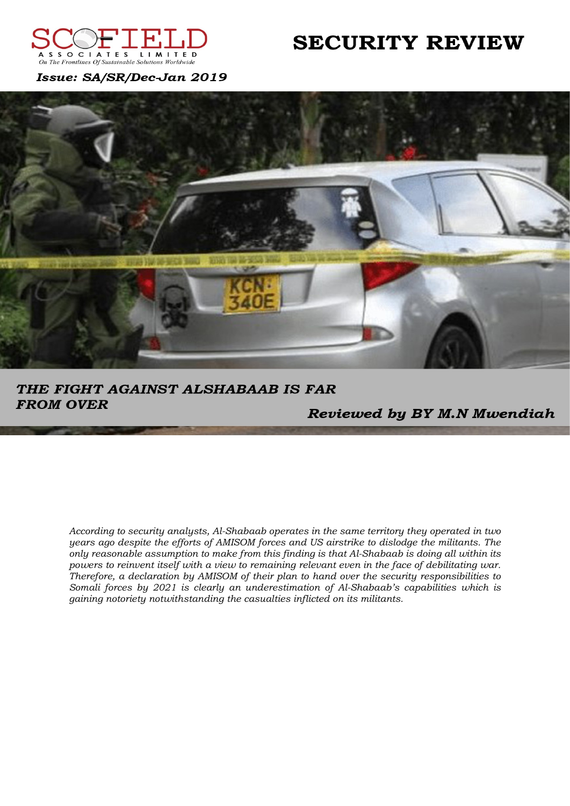

# **SECURITY REVIEW**

Issue: SA/SR/Dec-Jan 2019



THE FIGHT AGAINST ALSHABAAB IS FAR **FROM OVER** 

Reviewed by BY M.N Mwendiah

According to security analysts, Al-Shabaab operates in the same territory they operated in two years ago despite the efforts of AMISOM forces and US airstrike to dislodge the militants. The only reasonable assumption to make from this finding is that Al-Shabaab is doing all within its powers to reinvent itself with a view to remaining relevant even in the face of debilitating war. Therefore, a declaration by AMISOM of their plan to hand over the security responsibilities to Somali forces by 2021 is clearly an underestimation of Al-Shabaab's capabilities which is gaining notoriety notwithstanding the casualties inflicted on its militants.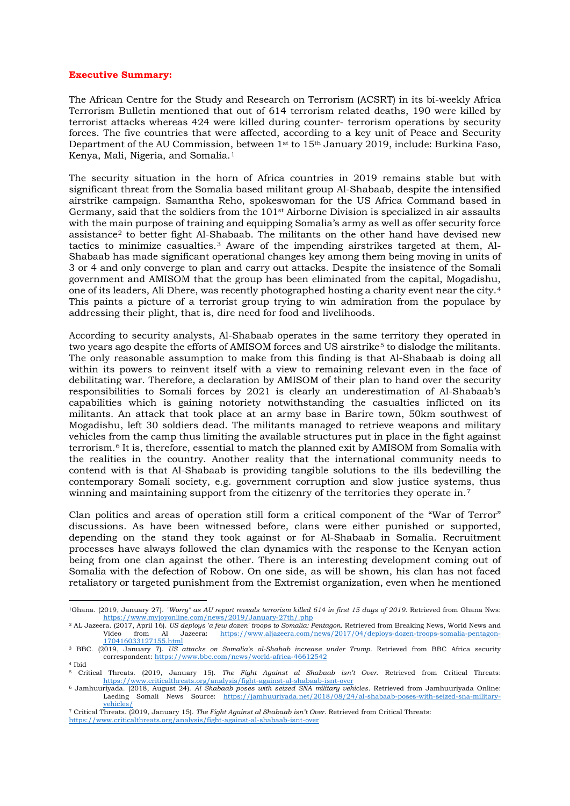#### **Executive Summary:**

The African Centre for the Study and Research on Terrorism (ACSRT) in its bi-weekly Africa Terrorism Bulletin mentioned that out of 614 terrorism related deaths, 190 were killed by terrorist attacks whereas 424 were killed during counter- terrorism operations by security forces. The five countries that were affected, according to a key unit of Peace and Security Department of the AU Commission, between 1st to 15th January 2019, include: Burkina Faso, Kenya, Mali, Nigeria, and Somalia.[1](#page-1-0)

The security situation in the horn of Africa countries in 2019 remains stable but with significant threat from the Somalia based militant group Al-Shabaab, despite the intensified airstrike campaign. Samantha Reho, spokeswoman for the US Africa Command based in Germany, said that the soldiers from the 101<sup>st</sup> Airborne Division is specialized in air assaults with the main purpose of training and equipping Somalia's army as well as offer security force assistance<sup>[2](#page-1-1)</sup> to better fight Al-Shabaab. The militants on the other hand have devised new tactics to minimize casualties.[3](#page-1-2) Aware of the impending airstrikes targeted at them, Al-Shabaab has made significant operational changes key among them being moving in units of 3 or 4 and only converge to plan and carry out attacks. Despite the insistence of the Somali government and AMISOM that the group has been eliminated from the capital, Mogadishu, one of its leaders, Ali Dhere, was recently photographed hosting a charity event near the city.[4](#page-1-3) This paints a picture of a terrorist group trying to win admiration from the populace by addressing their plight, that is, dire need for food and livelihoods.

According to security analysts, Al-Shabaab operates in the same territory they operated in two years ago despite the efforts of AMISOM forces and US airstrike<sup>[5](#page-1-4)</sup> to dislodge the militants. The only reasonable assumption to make from this finding is that Al-Shabaab is doing all within its powers to reinvent itself with a view to remaining relevant even in the face of debilitating war. Therefore, a declaration by AMISOM of their plan to hand over the security responsibilities to Somali forces by 2021 is clearly an underestimation of Al-Shabaab's capabilities which is gaining notoriety notwithstanding the casualties inflicted on its militants. An attack that took place at an army base in Barire town, 50km southwest of Mogadishu, left 30 soldiers dead. The militants managed to retrieve weapons and military vehicles from the camp thus limiting the available structures put in place in the fight against terrorism.[6](#page-1-5) It is, therefore, essential to match the planned exit by AMISOM from Somalia with the realities in the country. Another reality that the international community needs to contend with is that Al-Shabaab is providing tangible solutions to the ills bedevilling the contemporary Somali society, e.g. government corruption and slow justice systems, thus winning and maintaining support from the citizenry of the territories they operate in.<sup>[7](#page-1-6)</sup>

Clan politics and areas of operation still form a critical component of the "War of Terror" discussions. As have been witnessed before, clans were either punished or supported, depending on the stand they took against or for Al-Shabaab in Somalia. Recruitment processes have always followed the clan dynamics with the response to the Kenyan action being from one clan against the other. There is an interesting development coming out of Somalia with the defection of Robow. On one side, as will be shown, his clan has not faced retaliatory or targeted punishment from the Extremist organization, even when he mentioned

<sup>-</sup>1Ghana. (2019, January 27). *"Worry" as AU report reveals terrorism killed 614 in first 15 days of 2019*. Retrieved from Ghana Nws: <https://www.myjoyonline.com/news/2019/January-27th/.php>

<span id="page-1-1"></span><span id="page-1-0"></span><sup>&</sup>lt;sup>2</sup> AL Jazeera. (2017, April 16). *US deploys 'a few dozen' troops to Somalia: Pentagon*. Retrieved from Breaking News, World News and Video from Al Jazeera: https://www.aljazeera.com/news/2017/04/deploys-dozen-troops-soma [https://www.aljazeera.com/news/2017/04/deploys-dozen-troops-somalia-pentagon-](https://www.aljazeera.com/news/2017/04/deploys-dozen-troops-somalia-pentagon-170416033127155.html)[170416033127155.html](https://www.aljazeera.com/news/2017/04/deploys-dozen-troops-somalia-pentagon-170416033127155.html)

<span id="page-1-2"></span><sup>&</sup>lt;sup>3</sup> BBC. (2019, January 7). *US attacks on Somalia's al-Shabab increase under Trump*. Retrieved from BBC Africa security correspondent[: https://www.bbc.com/news/world-africa-46612542](https://www.bbc.com/news/world-africa-46612542) <sup>4</sup> Ibid

<span id="page-1-5"></span><span id="page-1-4"></span><span id="page-1-3"></span><sup>5</sup> Critical Threats. (2019, January 15). *The Fight Against al Shabaab isn't Over*. Retrieved from Critical Threats: <https://www.criticalthreats.org/analysis/fight-against-al-shabaab-isnt-over>

<sup>6</sup> Jamhuuriyada. (2018, August 24). *Al Shabaab poses with seized SNA military vehicles*. Retrieved from Jamhuuriyada Online: Laeding Somali News Source: [https://jamhuuriyada.net/2018/08/24/al-shabaab-poses-with-seized-sna-military](https://jamhuuriyada.net/2018/08/24/al-shabaab-poses-with-seized-sna-military-vehicles/)[vehicles/](https://jamhuuriyada.net/2018/08/24/al-shabaab-poses-with-seized-sna-military-vehicles/)

<span id="page-1-6"></span><sup>7</sup> Critical Threats. (2019, January 15). *The Fight Against al Shabaab isn't Over*. Retrieved from Critical Threats: <https://www.criticalthreats.org/analysis/fight-against-al-shabaab-isnt-over>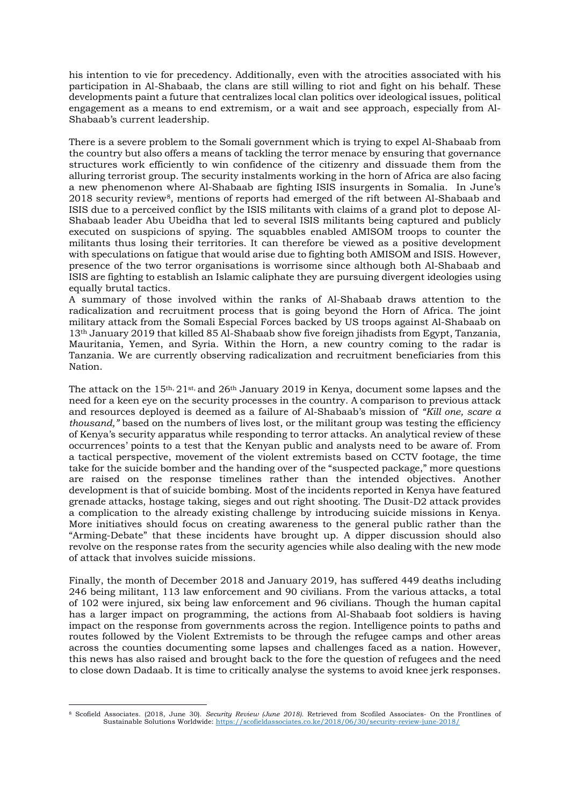his intention to vie for precedency. Additionally, even with the atrocities associated with his participation in Al-Shabaab, the clans are still willing to riot and fight on his behalf. These developments paint a future that centralizes local clan politics over ideological issues, political engagement as a means to end extremism, or a wait and see approach, especially from Al-Shabaab's current leadership.

There is a severe problem to the Somali government which is trying to expel Al-Shabaab from the country but also offers a means of tackling the terror menace by ensuring that governance structures work efficiently to win confidence of the citizenry and dissuade them from the alluring terrorist group. The security instalments working in the horn of Africa are also facing a new phenomenon where Al-Shabaab are fighting ISIS insurgents in Somalia. In June's 201[8](#page-2-0) security review<sup>8</sup>, mentions of reports had emerged of the rift between Al-Shabaab and ISIS due to a perceived conflict by the ISIS militants with claims of a grand plot to depose Al-Shabaab leader Abu Ubeidha that led to several ISIS militants being captured and publicly executed on suspicions of spying. The squabbles enabled AMISOM troops to counter the militants thus losing their territories. It can therefore be viewed as a positive development with speculations on fatigue that would arise due to fighting both AMISOM and ISIS. However, presence of the two terror organisations is worrisome since although both Al-Shabaab and ISIS are fighting to establish an Islamic caliphate they are pursuing divergent ideologies using equally brutal tactics.

A summary of those involved within the ranks of Al-Shabaab draws attention to the radicalization and recruitment process that is going beyond the Horn of Africa. The joint military attack from the Somali Especial Forces backed by US troops against Al-Shabaab on 13th January 2019 that killed 85 Al-Shabaab show five foreign jihadists from Egypt, Tanzania, Mauritania, Yemen, and Syria. Within the Horn, a new country coming to the radar is Tanzania. We are currently observing radicalization and recruitment beneficiaries from this Nation.

The attack on the 15<sup>th, 21st,</sup> and 26<sup>th</sup> January 2019 in Kenya, document some lapses and the need for a keen eye on the security processes in the country. A comparison to previous attack and resources deployed is deemed as a failure of Al-Shabaab's mission of *"Kill one, scare a thousand,"* based on the numbers of lives lost, or the militant group was testing the efficiency of Kenya's security apparatus while responding to terror attacks. An analytical review of these occurrences' points to a test that the Kenyan public and analysts need to be aware of. From a tactical perspective, movement of the violent extremists based on CCTV footage, the time take for the suicide bomber and the handing over of the "suspected package," more questions are raised on the response timelines rather than the intended objectives. Another development is that of suicide bombing. Most of the incidents reported in Kenya have featured grenade attacks, hostage taking, sieges and out right shooting. The Dusit-D2 attack provides a complication to the already existing challenge by introducing suicide missions in Kenya. More initiatives should focus on creating awareness to the general public rather than the "Arming-Debate" that these incidents have brought up. A dipper discussion should also revolve on the response rates from the security agencies while also dealing with the new mode of attack that involves suicide missions.

Finally, the month of December 2018 and January 2019, has suffered 449 deaths including 246 being militant, 113 law enforcement and 90 civilians. From the various attacks, a total of 102 were injured, six being law enforcement and 96 civilians. Though the human capital has a larger impact on programming, the actions from Al-Shabaab foot soldiers is having impact on the response from governments across the region. Intelligence points to paths and routes followed by the Violent Extremists to be through the refugee camps and other areas across the counties documenting some lapses and challenges faced as a nation. However, this news has also raised and brought back to the fore the question of refugees and the need to close down Dadaab. It is time to critically analyse the systems to avoid knee jerk responses.

<span id="page-2-0"></span><sup>&</sup>lt;u>.</u> <sup>8</sup> Scofield Associates. (2018, June 30). *Security Review (June 2018).* Retrieved from Scofiled Associates- On the Frontlines of Sustainable Solutions Worldwide[: https://scofieldassociates.co.ke/2018/06/30/security-review-june-2018/](https://scofieldassociates.co.ke/2018/06/30/security-review-june-2018/)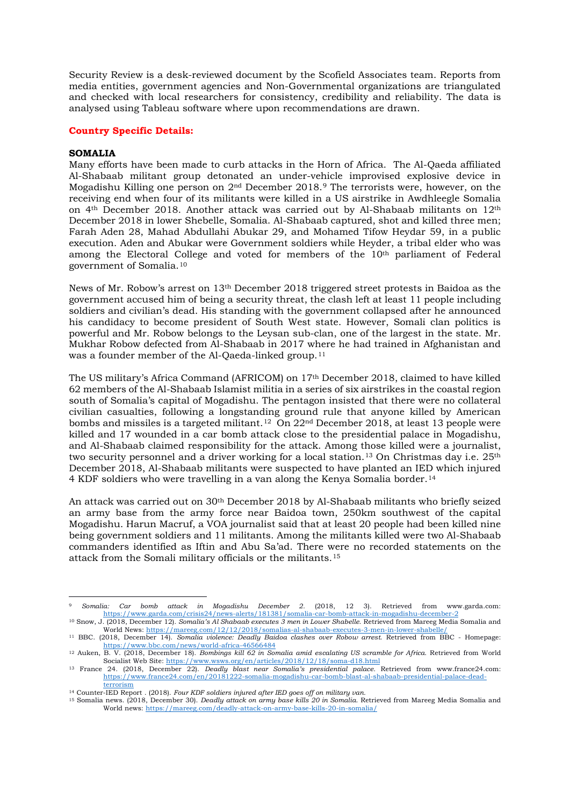Security Review is a desk-reviewed document by the Scofield Associates team. Reports from media entities, government agencies and Non-Governmental organizations are triangulated and checked with local researchers for consistency, credibility and reliability. The data is analysed using Tableau software where upon recommendations are drawn.

# **Country Specific Details:**

### **SOMALIA**

<u>.</u>

Many efforts have been made to curb attacks in the Horn of Africa. The Al-Qaeda affiliated Al-Shabaab militant group detonated an under-vehicle improvised explosive device in Mogadishu Killing one person on 2nd December 2018.[9](#page-3-0) The terrorists were, however, on the receiving end when four of its militants were killed in a US airstrike in Awdhleegle Somalia on  $4<sup>th</sup>$  December 2018. Another attack was carried out by Al-Shabaab militants on  $12<sup>th</sup>$ December 2018 in lower Shebelle, Somalia. Al-Shabaab captured, shot and killed three men; Farah Aden 28, Mahad Abdullahi Abukar 29, and Mohamed Tifow Heydar 59, in a public execution. Aden and Abukar were Government soldiers while Heyder, a tribal elder who was among the Electoral College and voted for members of the 10th parliament of Federal government of Somalia.[10](#page-3-1)

News of Mr. Robow's arrest on 13th December 2018 triggered street protests in Baidoa as the government accused him of being a security threat, the clash left at least 11 people including soldiers and civilian's dead. His standing with the government collapsed after he announced his candidacy to become president of South West state. However, Somali clan politics is powerful and Mr. Robow belongs to the Leysan sub-clan, one of the largest in the state. Mr. Mukhar Robow defected from Al-Shabaab in 2017 where he had trained in Afghanistan and was a founder member of the Al-Qaeda-linked group.<sup>[11](#page-3-2)</sup>

The US military's Africa Command (AFRICOM) on 17th December 2018, claimed to have killed 62 members of the Al-Shabaab Islamist militia in a series of six airstrikes in the coastal region south of Somalia's capital of Mogadishu. The pentagon insisted that there were no collateral civilian casualties, following a longstanding ground rule that anyone killed by American bombs and missiles is a targeted militant.[12](#page-3-3) On 22nd December 2018, at least 13 people were killed and 17 wounded in a car bomb attack close to the presidential palace in Mogadishu, and Al-Shabaab claimed responsibility for the attack. Among those killed were a journalist, two security personnel and a driver working for a local station.<sup>[13](#page-3-4)</sup> On Christmas day i.e.  $25<sup>th</sup>$ December 2018, Al-Shabaab militants were suspected to have planted an IED which injured 4 KDF soldiers who were travelling in a van along the Kenya Somalia border.[14](#page-3-5)

An attack was carried out on 30th December 2018 by Al-Shabaab militants who briefly seized an army base from the army force near Baidoa town, 250km southwest of the capital Mogadishu. Harun Macruf, a VOA journalist said that at least 20 people had been killed nine being government soldiers and 11 militants. Among the militants killed were two Al-Shabaab commanders identified as Iftin and Abu Sa'ad. There were no recorded statements on the attack from the Somali military officials or the militants.[15](#page-3-6)

<span id="page-3-0"></span><sup>9</sup> *Somalia: Car bomb attack in Mogadishu December 2.* (2018, 12 3). Retrieved from www.garda.com: <https://www.garda.com/crisis24/news-alerts/181381/somalia-car-bomb-attack-in-mogadishu-december-2>

<span id="page-3-1"></span><sup>10</sup> Snow, J. (2018, December 12). *Somalia's Al Shabaab executes 3 men in Lower Shabelle*. Retrieved from Mareeg Media Somalia and World News:<https://mareeg.com/12/12/2018/somalias-al-shabaab-executes-3-men-in-lower-shabelle/> <sup>11</sup> BBC. (2018, December 14). *Somalia violence: Deadly Baidoa clashes over Robow arrest*. Retrieved from BBC - Homepage:

<span id="page-3-3"></span><span id="page-3-2"></span><https://www.bbc.com/news/world-africa-46566484>

<sup>12</sup> Auken, B. V. (2018, December 18). *Bombings kill 62 in Somalia amid escalating US scramble for Africa*. Retrieved from World Socialist Web Site[: https://www.wsws.org/en/articles/2018/12/18/soma-d18.html](https://www.wsws.org/en/articles/2018/12/18/soma-d18.html) <sup>13</sup> France 24. (2018, December 22). *Deadly blast near Somalia's presidential palace.* Retrieved from www.france24.com:

<span id="page-3-4"></span>[https://www.france24.com/en/20181222-somalia-mogadishu-car-bomb-blast-al-shabaab-presidential-palace-dead](https://www.france24.com/en/20181222-somalia-mogadishu-car-bomb-blast-al-shabaab-presidential-palace-dead-terrorism)[terrorism](https://www.france24.com/en/20181222-somalia-mogadishu-car-bomb-blast-al-shabaab-presidential-palace-dead-terrorism)

<sup>14</sup> Counter-IED Report . (2018). *Four KDF soldiers injured after IED goes off on military van.*

<span id="page-3-6"></span><span id="page-3-5"></span><sup>15</sup> Somalia news. (2018, December 30). *Deadly attack on army base kills 20 in Somalia*. Retrieved from Mareeg Media Somalia and World news:<https://mareeg.com/deadly-attack-on-army-base-kills-20-in-somalia/>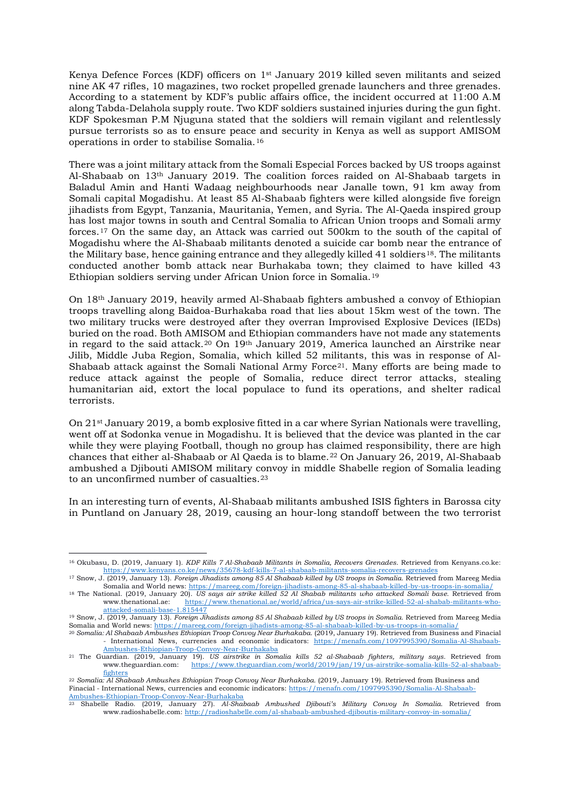Kenya Defence Forces (KDF) officers on 1st January 2019 killed seven militants and seized nine AK 47 rifles, 10 magazines, two rocket propelled grenade launchers and three grenades. According to a statement by KDF's public affairs office, the incident occurred at 11:00 A.M along Tabda-Delahola supply route. Two KDF soldiers sustained injuries during the gun fight. KDF Spokesman P.M Njuguna stated that the soldiers will remain vigilant and relentlessly pursue terrorists so as to ensure peace and security in Kenya as well as support AMISOM operations in order to stabilise Somalia.[16](#page-4-0)

There was a joint military attack from the Somali Especial Forces backed by US troops against Al-Shabaab on 13th January 2019. The coalition forces raided on Al-Shabaab targets in Baladul Amin and Hanti Wadaag neighbourhoods near Janalle town, 91 km away from Somali capital Mogadishu. At least 85 Al-Shabaab fighters were killed alongside five foreign jihadists from Egypt, Tanzania, Mauritania, Yemen, and Syria. The Al-Qaeda inspired group has lost major towns in south and Central Somalia to African Union troops and Somali army forces.[17](#page-4-1) On the same day, an Attack was carried out 500km to the south of the capital of Mogadishu where the Al-Shabaab militants denoted a suicide car bomb near the entrance of the Military base, hence gaining entrance and they allegedly killed 41 soldiers<sup>[18](#page-4-2)</sup>. The militants conducted another bomb attack near Burhakaba town; they claimed to have killed 43 Ethiopian soldiers serving under African Union force in Somalia.[19](#page-4-3)

On 18th January 2019, heavily armed Al-Shabaab fighters ambushed a convoy of Ethiopian troops travelling along Baidoa-Burhakaba road that lies about 15km west of the town. The two military trucks were destroyed after they overran Improvised Explosive Devices (IEDs) buried on the road. Both AMISOM and Ethiopian commanders have not made any statements in regard to the said attack.[20](#page-4-4) On 19th January 2019, America launched an Airstrike near Jilib, Middle Juba Region, Somalia, which killed 52 militants, this was in response of Al-Shabaab attack against the Somali National Army Force<sup>[21](#page-4-5)</sup>. Many efforts are being made to reduce attack against the people of Somalia, reduce direct terror attacks, stealing humanitarian aid, extort the local populace to fund its operations, and shelter radical terrorists.

On 21<sup>st</sup> January 2019, a bomb explosive fitted in a car where Syrian Nationals were travelling, went off at Sodonka venue in Mogadishu. It is believed that the device was planted in the car while they were playing Football, though no group has claimed responsibility, there are high chances that either al-Shabaab or Al Qaeda is to blame.[22](#page-4-6) On January 26, 2019, Al-Shabaab ambushed a Djibouti AMISOM military convoy in middle Shabelle region of Somalia leading to an unconfirmed number of casualties.<sup>[23](#page-4-7)</sup>

In an interesting turn of events, Al-Shabaab militants ambushed ISIS fighters in Barossa city in Puntland on January 28, 2019, causing an hour-long standoff between the two terrorist

<u>.</u>

<span id="page-4-0"></span><sup>16</sup> Okubasu, D. (2019, January 1). *KDF Kills 7 Al-Shabaab Militants in Somalia, Recovers Grenades*. Retrieved from Kenyans.co.ke: <https://www.kenyans.co.ke/news/35678-kdf-kills-7-al-shabaab-militants-somalia-recovers-grenades>

<span id="page-4-2"></span><span id="page-4-1"></span><sup>17</sup> Snow, J. (2019, January 13). *Foreign Jihadists among 85 Al Shabaab killed by US troops in Somalia*. Retrieved from Mareeg Media Somalia and World news:<https://mareeg.com/foreign-jihadists-among-85-al-shabaab-killed-by-us-troops-in-somalia/> <sup>18</sup> The National. (2019, January 20). *US says air strike killed 52 Al Shabab militants who attacked Somali base*. Retrieved from [https://www.thenational.ae/world/africa/us-says-air-strike-killed-52-al-shabab-militants-who-](https://www.thenational.ae/world/africa/us-says-air-strike-killed-52-al-shabab-militants-who-attacked-somali-base-1.815447)

[attacked-somali-base-1.815447](https://www.thenational.ae/world/africa/us-says-air-strike-killed-52-al-shabab-militants-who-attacked-somali-base-1.815447)

<span id="page-4-3"></span><sup>19</sup> Snow, J. (2019, January 13). *Foreign Jihadists among 85 Al Shabaab killed by US troops in Somalia*. Retrieved from Mareeg Media Somalia and World news:<https://mareeg.com/foreign-jihadists-among-85-al-shabaab-killed-by-us-troops-in-somalia/>

<span id="page-4-4"></span><sup>20</sup> *Somalia: Al Shabaab Ambushes Ethiopian Troop Convoy Near Burhakaba*. (2019, January 19). Retrieved from Business and Finacial International News, currencies and economic indicators: [https://menafn.com/1097995390/Somalia-Al-Shabaab-](https://menafn.com/1097995390/Somalia-Al-Shabaab-Ambushes-Ethiopian-Troop-Convoy-Near-Burhakaba)[Ambushes-Ethiopian-Troop-Convoy-Near-Burhakaba](https://menafn.com/1097995390/Somalia-Al-Shabaab-Ambushes-Ethiopian-Troop-Convoy-Near-Burhakaba)

<span id="page-4-5"></span><sup>21</sup> The Guardian. (2019, January 19). *US airstrike in Somalia kills 52 al-Shabaab fighters, military says*. Retrieved from www.theguardian.com: https://www.theguardian.com/world/2019/jan/19/us-airstrike[fighters](https://www.theguardian.com/world/2019/jan/19/us-airstrike-somalia-kills-52-al-shabaab-fighters)

<span id="page-4-6"></span><sup>22</sup> *Somalia: Al Shabaab Ambushes Ethiopian Troop Convoy Near Burhakaba*. (2019, January 19). Retrieved from Business and Finacial - International News, currencies and economic indicators: [https://menafn.com/1097995390/Somalia-Al-Shabaab-](https://menafn.com/1097995390/Somalia-Al-Shabaab-Ambushes-Ethiopian-Troop-Convoy-Near-Burhakaba)[Ambushes-Ethiopian-Troop-Convoy-Near-Burhakaba](https://menafn.com/1097995390/Somalia-Al-Shabaab-Ambushes-Ethiopian-Troop-Convoy-Near-Burhakaba)

<span id="page-4-7"></span><sup>23</sup> Shabelle Radio. (2019, January 27). *Al-Shabaab Ambushed Djibouti's Military Convoy In Somalia*. Retrieved from www.radioshabelle.com:<http://radioshabelle.com/al-shabaab-ambushed-djiboutis-military-convoy-in-somalia/>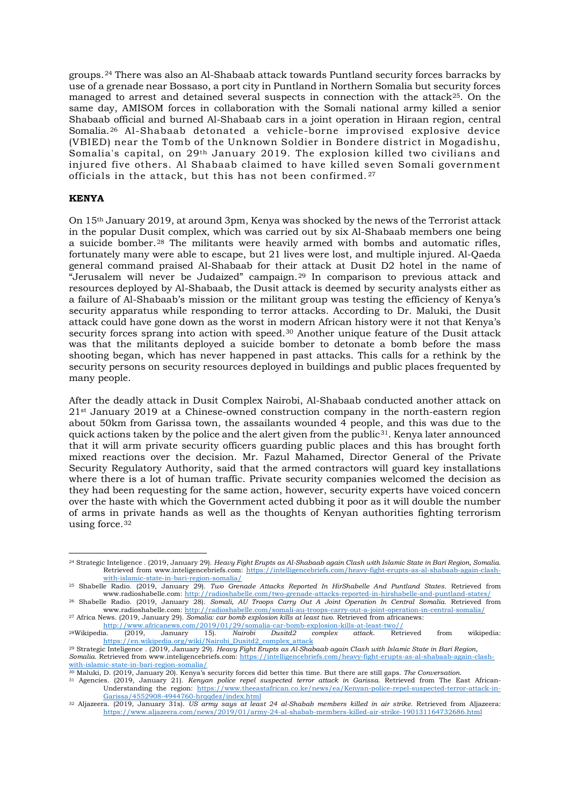groups.[24](#page-5-0) There was also an Al-Shabaab attack towards Puntland security forces barracks by use of a grenade near Bossaso, a port city in Puntland in Northern Somalia but security forces managed to arrest and detained several suspects in connection with the attack<sup>25</sup>. On the same day, AMISOM forces in collaboration with the Somali national army killed a senior Shabaab official and burned Al-Shabaab cars in a joint operation in Hiraan region, central Somalia.[26](#page-5-2) Al-Shabaab detonated a vehicle-borne improvised explosive device (VBIED) near the Tomb of the Unknown Soldier in Bondere district in Mogadishu, Somalia's capital, on 29th January 2019. The explosion killed two civilians and injured five others. Al Shabaab claimed to have killed seven Somali government officials in the attack, but this has not been confirmed. [27](#page-5-3)

## **KENYA**

On 15th January 2019, at around 3pm, Kenya was shocked by the news of the Terrorist attack in the popular Dusit complex, which was carried out by six Al-Shabaab members one being a suicide bomber.[28](#page-5-4) The militants were heavily armed with bombs and automatic rifles, fortunately many were able to escape, but 21 lives were lost, and multiple injured. Al-Qaeda general command praised Al-Shabaab for their attack at Dusit D2 hotel in the name of "Jerusalem will never be Judaized" campaign.[29](#page-5-5) In comparison to previous attack and resources deployed by Al-Shabaab, the Dusit attack is deemed by security analysts either as a failure of Al-Shabaab's mission or the militant group was testing the efficiency of Kenya's security apparatus while responding to terror attacks. According to Dr. Maluki, the Dusit attack could have gone down as the worst in modern African history were it not that Kenya's security forces sprang into action with speed.<sup>[30](#page-5-6)</sup> Another unique feature of the Dusit attack was that the militants deployed a suicide bomber to detonate a bomb before the mass shooting began, which has never happened in past attacks. This calls for a rethink by the security persons on security resources deployed in buildings and public places frequented by many people.

After the deadly attack in Dusit Complex Nairobi, Al-Shabaab conducted another attack on 21st January 2019 at a Chinese-owned construction company in the north-eastern region about 50km from Garissa town, the assailants wounded 4 people, and this was due to the quick actions taken by the police and the alert given from the public<sup>31</sup>. Kenya later announced that it will arm private security officers guarding public places and this has brought forth mixed reactions over the decision. Mr. Fazul Mahamed, Director General of the Private Security Regulatory Authority, said that the armed contractors will guard key installations where there is a lot of human traffic. Private security companies welcomed the decision as they had been requesting for the same action, however, security experts have voiced concern over the haste with which the Government acted dubbing it poor as it will double the number of arms in private hands as well as the thoughts of Kenyan authorities fighting terrorism using force.[32](#page-5-8)

<span id="page-5-0"></span><sup>&</sup>lt;u>.</u> <sup>24</sup> Strategic Inteligence . (2019, January 29). *Heavy Fight Erupts as Al-Shabaab again Clash with Islamic State in Bari Region, Somalia*. Retrieved from www.inteligencebriefs.com: [https://intelligencebriefs.com/heavy-fight-erupts-as-al-shabaab-again-clash](https://intelligencebriefs.com/heavy-fight-erupts-as-al-shabaab-again-clash-with-islamic-state-in-bari-region-somalia/)[with-islamic-state-in-bari-region-somalia/](https://intelligencebriefs.com/heavy-fight-erupts-as-al-shabaab-again-clash-with-islamic-state-in-bari-region-somalia/)

<span id="page-5-1"></span><sup>25</sup> Shabelle Radio. (2019, January 29). *Two Grenade Attacks Reported In HirShabelle And Puntland States*. Retrieved from www.radioshabelle.com:<http://radioshabelle.com/two-grenade-attacks-reported-in-hirshabelle-and-puntland-states/>

<span id="page-5-2"></span><sup>26</sup> Shabelle Radio. (2019, January 28). *Somali, AU Troops Carry Out A Joint Operation In Central Somalia*. Retrieved from www.radioshabelle.com:<http://radioshabelle.com/somali-au-troops-carry-out-a-joint-operation-in-central-somalia/>

<span id="page-5-3"></span><sup>27</sup> Africa News. (2019, January 29). *Somalia: car bomb explosion kills at least two*. Retrieved from africanews:

<span id="page-5-4"></span>[http://www.africanews.com/2019/01/29/somalia-car-bomb-explosion-kills-at-least-two//](http://www.africanews.com/2019/01/29/somalia-car-bomb-explosion-kills-at-least-two/)<br><sup>28</sup>Wikipedia. (2019, January 15). Nairobi Dusitd2 complex attack. Retrieved 28Wikipedia. (2019, January 15). *Nairobi Dusitd2 complex attack*. Retrieved from wikipedia: [https://en.wikipedia.org/wiki/Nairobi\\_Dusitd2\\_complex\\_attack](https://en.wikipedia.org/wiki/Nairobi_Dusitd2_complex_attack)

<span id="page-5-5"></span><sup>29</sup> Strategic Inteligence . (2019, January 29). *Heavy Fight Erupts as Al-Shabaab again Clash with Islamic State in Bari Region, Somalia*. Retrieved from www.inteligencebriefs.com[: https://intelligencebriefs.com/heavy-fight-erupts-as-al-shabaab-again-clash](https://intelligencebriefs.com/heavy-fight-erupts-as-al-shabaab-again-clash-with-islamic-state-in-bari-region-somalia/)[with-islamic-state-in-bari-region-somalia/](https://intelligencebriefs.com/heavy-fight-erupts-as-al-shabaab-again-clash-with-islamic-state-in-bari-region-somalia/)

<span id="page-5-7"></span><span id="page-5-6"></span><sup>30</sup> Maluki, D. (2019, January 20). Kenya's security forces did better this time. But there are still gaps. *The Conversation*.

<sup>31</sup> Agencies. (2019, January 21). *Kenyan police repel suspected terror attack in Garissa*. Retrieved from The East African-Understanding the region: [https://www.theeastafrican.co.ke/news/ea/Kenyan-police-repel-suspected-terror-attack-in-](https://www.theeastafrican.co.ke/news/ea/Kenyan-police-repel-suspected-terror-attack-in-Garissa/4552908-4944760-hrqqdez/index.html)[Garissa/4552908-4944760-hrqqdez/index.html](https://www.theeastafrican.co.ke/news/ea/Kenyan-police-repel-suspected-terror-attack-in-Garissa/4552908-4944760-hrqqdez/index.html)

<span id="page-5-8"></span><sup>32</sup> Aljazeera. (2019, January 31s). *US army says at least 24 al-Shabab members killed in air strike.* Retrieved from Aljazeera: <https://www.aljazeera.com/news/2019/01/army-24-al-shabab-members-killed-air-strike-190131164732686.html>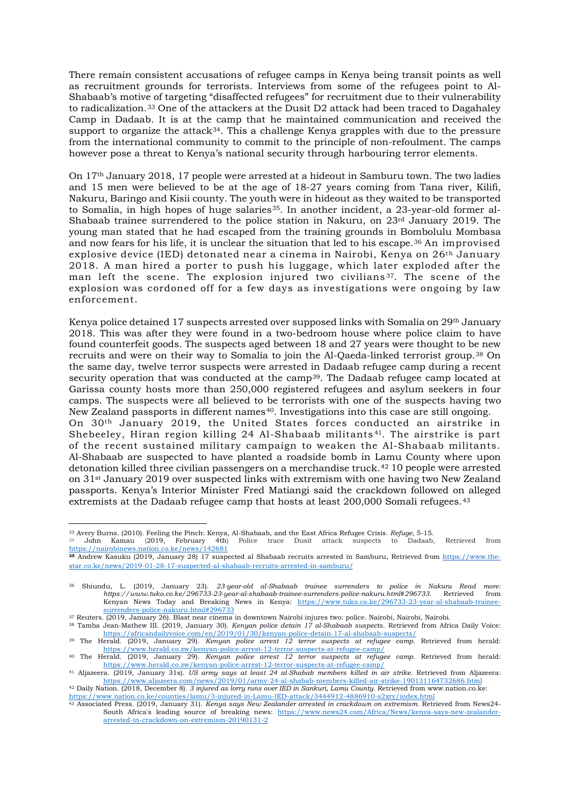There remain consistent accusations of refugee camps in Kenya being transit points as well as recruitment grounds for terrorists. Interviews from some of the refugees point to Al-Shabaab's motive of targeting "disaffected refugees" for recruitment due to their vulnerability to radicalization.[33](#page-6-0) One of the attackers at the Dusit D2 attack had been traced to Dagahaley Camp in Dadaab. It is at the camp that he maintained communication and received the support to organize the attack<sup>[34](#page-6-1)</sup>. This a challenge Kenya grapples with due to the pressure from the international community to commit to the principle of non-refoulment. The camps however pose a threat to Kenya's national security through harbouring terror elements.

On 17th January 2018, 17 people were arrested at a hideout in Samburu town. The two ladies and 15 men were believed to be at the age of 18-27 years coming from Tana river, Kilifi, Nakuru, Baringo and Kisii county. The youth were in hideout as they waited to be transported to Somalia, in high hopes of huge salaries<sup>[35](#page-6-2)</sup>. In another incident, a 23-year-old former al-Shabaab trainee surrendered to the police station in Nakuru, on 23rd January 2019. The young man stated that he had escaped from the training grounds in Bombolulu Mombasa and now fears for his life, it is unclear the situation that led to his escape.[36](#page-6-3) An improvised explosive device (IED) detonated near a cinema in Nairobi, Kenya on 26th January 2018. A man hired a porter to push his luggage, which later exploded after the man left the scene. The explosion injured two civilians<sup>37</sup>. The scene of the explosion was cordoned off for a few days as investigations were ongoing by law enforcement.

Kenya police detained 17 suspects arrested over supposed links with Somalia on 29th January 2018. This was after they were found in a two-bedroom house where police claim to have found counterfeit goods. The suspects aged between 18 and 27 years were thought to be new recruits and were on their way to Somalia to join the Al-Qaeda-linked terrorist group.[38](#page-6-5) On the same day, twelve terror suspects were arrested in Dadaab refugee camp during a recent security operation that was conducted at the camp<sup>[39](#page-6-6)</sup>. The Dadaab refugee camp located at Garissa county hosts more than 250,000 registered refugees and asylum seekers in four camps. The suspects were all believed to be terrorists with one of the suspects having two New Zealand passports in different names<sup>[40](#page-6-7)</sup>. Investigations into this case are still ongoing. On 30th January 2019, the United States forces conducted an airstrike in Shebeeley, Hiran region killing 24 Al-Shabaab militants [41](#page-6-8). The airstrike is part of the recent sustained military campaign to weaken the Al-Shabaab militants. Al-Shabaab are suspected to have planted a roadside bomb in Lamu County where upon detonation killed three civilian passengers on a merchandise truck.[42](#page-6-9) 10 people were arrested on 31st January 2019 over suspected links with extremism with one having two New Zealand passports. Kenya's Interior Minister Fred Matiangi said the crackdown followed on alleged

extremists at the Dadaab refugee camp that hosts at least 200,000 Somali refugees.[43](#page-6-10)

<span id="page-6-10"></span><span id="page-6-9"></span><https://www.nation.co.ke/counties/lamu/3-injured-in-Lamu-IED-attack/3444912-4886910-s2xry/index.html>

<sup>&</sup>lt;u>.</u> <sup>33</sup> Avery Burns. (2010). Feeling the Pinch: Kenya, Al-Shabaab, and the East Africa Refugee Crisis. *Refuge*, 5-15.

<span id="page-6-1"></span><span id="page-6-0"></span><sup>34</sup> John Kamau (2019, February 4th) Police trace Dusit attack suspects to Dadaab, Retrieved from <https://nairobinews.nation.co.ke/news/142681>

<span id="page-6-2"></span>**<sup>35</sup>** Andrew Kasuku (2019, January 28) 17 suspected al Shabaab recruits arrested in Samburu, Retrieved from [https://www.the](https://www.the-star.co.ke/news/2019-01-28-17-suspected-al-shabaab-recruits-arrested-in-samburu/)[star.co.ke/news/2019-01-28-17-suspected-al-shabaab-recruits-arrested-in-samburu/](https://www.the-star.co.ke/news/2019-01-28-17-suspected-al-shabaab-recruits-arrested-in-samburu/)

<span id="page-6-3"></span><sup>36</sup> Shiundu, L. (2019, January 23). *23-year-old al-Shabaab trainee surrenders to police in Nakuru Read more: https://www.tuko.co.ke/296733-23-year-al-shabaab-trainee-surrenders-police-nakuru.html#296733*. Retrieved from Kenyan News Today and Breaking News in Kenya: [https://www.tuko.co.ke/296733-23-year-al-shabaab-trainee](https://www.tuko.co.ke/296733-23-year-al-shabaab-trainee-surrenders-police-nakuru.html#296733)[surrenders-police-nakuru.html#296733](https://www.tuko.co.ke/296733-23-year-al-shabaab-trainee-surrenders-police-nakuru.html#296733)

<span id="page-6-4"></span><sup>37</sup> Reuters. (2019, January 26). Blast near cinema in downtown Nairobi injures two: police. Nairobi, Nairobi, Nairobi.

<span id="page-6-5"></span><sup>38</sup> Tamba Jean-Mathew III. (2019, January 30). *Kenyan police detain 17 al-Shabaab suspects*. Retrieved from Africa Daily Voice: <https://africandailyvoice.com/en/2019/01/30/kenyan-police-detain-17-al-shabaab-suspects/>

<span id="page-6-6"></span><sup>39</sup> The Herald. (2019, January 29). *Kenyan police arrest 12 terror suspects at refugee camp.* Retrieved from herald: <https://www.herald.co.zw/kenyan-police-arrest-12-terror-suspects-at-refugee-camp/>

<span id="page-6-7"></span><sup>40</sup> The Herald. (2019, January 29). *Kenyan police arrest 12 terror suspects at refugee camp.* Retrieved from herald: <https://www.herald.co.zw/kenyan-police-arrest-12-terror-suspects-at-refugee-camp/>

<span id="page-6-8"></span><sup>41</sup> Aljazeera. (2019, January 31s). *US army says at least 24 al-Shabab members killed in air strike.* Retrieved from Aljazeera: <https://www.aljazeera.com/news/2019/01/army-24-al-shabab-members-killed-air-strike-190131164732686.html> <sup>42</sup> Daily Nation. (2018, December 8). *3 injured as lorry runs over IED in Sankuri, Lamu County.* Retrieved from www.nation.co.ke:

<sup>43</sup> Associated Press. (2019, January 31). *Kenya says New Zealander arrested in crackdown on extremism*. Retrieved from News24- South Africa's leading source of breaking news: [https://www.news24.com/Africa/News/kenya-says-new-zealander](https://www.news24.com/Africa/News/kenya-says-new-zealander-arrested-in-crackdown-on-extremism-20190131-2)[arrested-in-crackdown-on-extremism-20190131-2](https://www.news24.com/Africa/News/kenya-says-new-zealander-arrested-in-crackdown-on-extremism-20190131-2)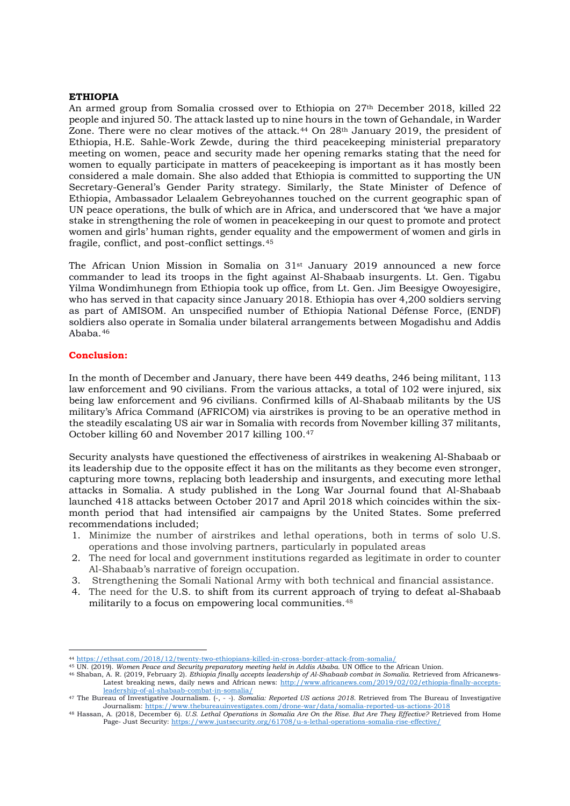# **ETHIOPIA**

An armed group from Somalia crossed over to Ethiopia on 27th December 2018, killed 22 people and injured 50. The attack lasted up to nine hours in the town of Gehandale, in Warder Zone. There were no clear motives of the attack.<sup>[44](#page-7-0)</sup> On 28<sup>th</sup> January 2019, the president of Ethiopia, H.E. Sahle-Work Zewde, during the third peacekeeping ministerial preparatory meeting on women, peace and security made her opening remarks stating that the need for women to equally participate in matters of peacekeeping is important as it has mostly been considered a male domain. She also added that Ethiopia is committed to supporting the UN Secretary-General's Gender Parity strategy. Similarly, the State Minister of Defence of Ethiopia, Ambassador Lelaalem Gebreyohannes touched on the current geographic span of UN peace operations, the bulk of which are in Africa, and underscored that 'we have a major stake in strengthening the role of women in peacekeeping in our quest to promote and protect women and girls' human rights, gender equality and the empowerment of women and girls in fragile, conflict, and post-conflict settings.[45](#page-7-1)

The African Union Mission in Somalia on  $31<sup>st</sup>$  January 2019 announced a new force commander to lead its troops in the fight against Al-Shabaab insurgents. Lt. Gen. Tigabu Yilma Wondimhunegn from Ethiopia took up office, from Lt. Gen. Jim Beesigye Owoyesigire, who has served in that capacity since January 2018. Ethiopia has over 4,200 soldiers serving as part of AMISOM. An unspecified number of Ethiopia National Défense Force, (ENDF) soldiers also operate in Somalia under bilateral arrangements between Mogadishu and Addis Ababa.[46](#page-7-2)

# **Conclusion:**

<u>.</u>

In the month of December and January, there have been 449 deaths, 246 being militant, 113 law enforcement and 90 civilians. From the various attacks, a total of 102 were injured, six being law enforcement and 96 civilians. Confirmed kills of Al-Shabaab militants by the US military's Africa Command (AFRICOM) via airstrikes is proving to be an operative method in the steadily escalating US air war in Somalia with records from November killing 37 militants, October killing 60 and November 2017 killing 100.[47](#page-7-3)

Security analysts have questioned the effectiveness of airstrikes in weakening Al-Shabaab or its leadership due to the opposite effect it has on the militants as they become even stronger, capturing more towns, replacing both leadership and insurgents, and executing more lethal attacks in Somalia. A study published in the Long War Journal found that Al-Shabaab launched 418 attacks between October 2017 and April 2018 which coincides within the sixmonth period that had intensified air campaigns by the United States. Some preferred recommendations included;

- 1. Minimize the number of airstrikes and lethal operations, both in terms of solo U.S. operations and those involving partners, particularly in populated areas
- 2. The need for local and government institutions regarded as legitimate in order to counter Al-Shabaab's narrative of foreign occupation.
- 3. Strengthening the Somali National Army with both technical and financial assistance.
- 4. The need for the U.S. to shift from its current approach of trying to defeat al-Shabaab militarily to a focus on [empowering local communities.](https://unsom.unmissions.org/sites/default/files/countering_al-shabaab_propaganda_and_recruitment_mechanisms_report_final_-_14_august_2017.pdf)<sup>[48](#page-7-4)</sup>

<span id="page-7-1"></span><span id="page-7-0"></span><sup>44</sup> <https://ethsat.com/2018/12/twenty-two-ethiopians-killed-in-cross-border-attack-from-somalia/>

<sup>45</sup> UN. (2019). *Women Peace and Security preparatory meeting held in Addis Ababa.* UN Office to the African Union.

<span id="page-7-2"></span><sup>46</sup> Shaban, A. R. (2019, February 2). *Ethiopia finally accepts leadership of Al-Shabaab combat in Somalia*. Retrieved from Africanews-Latest breaking news, daily news and African news: [http://www.africanews.com/2019/02/02/ethiopia-finally-accepts](http://www.africanews.com/2019/02/02/ethiopia-finally-accepts-leadership-of-al-shabaab-combat-in-somalia/)[leadership-of-al-shabaab-combat-in-somalia/](http://www.africanews.com/2019/02/02/ethiopia-finally-accepts-leadership-of-al-shabaab-combat-in-somalia/)

<span id="page-7-3"></span><sup>47</sup> The Bureau of Investigative Journalism. (-, - -). *Somalia: Reported US actions 2018*. Retrieved from The Bureau of Investigative Journalism[: https://www.thebureauinvestigates.com/drone-war/data/somalia-reported-us-actions-2018](https://www.thebureauinvestigates.com/drone-war/data/somalia-reported-us-actions-2018)

<span id="page-7-4"></span><sup>48</sup> Hassan, A. (2018, December 6). *U.S. Lethal Operations in Somalia Are On the Rise. But Are They Effective?* Retrieved from Home Page- Just Security:<https://www.justsecurity.org/61708/u-s-lethal-operations-somalia-rise-effective/>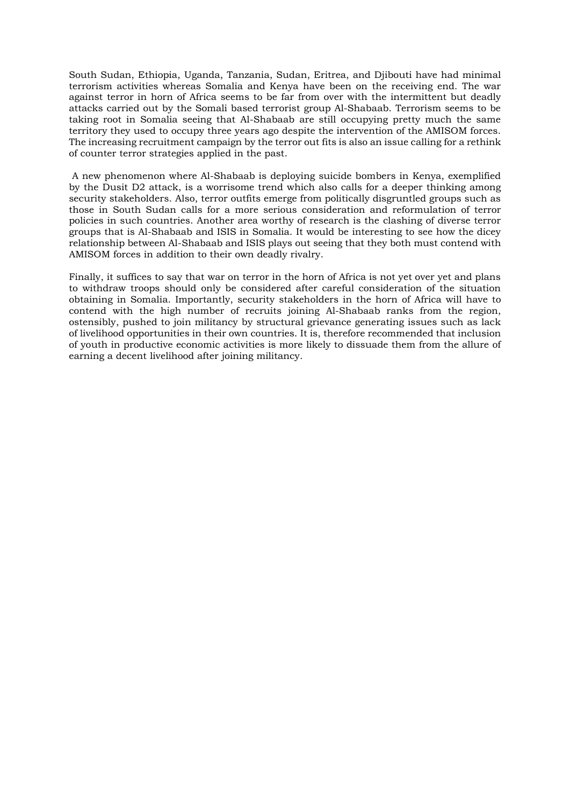South Sudan, Ethiopia, Uganda, Tanzania, Sudan, Eritrea, and Djibouti have had minimal terrorism activities whereas Somalia and Kenya have been on the receiving end. The war against terror in horn of Africa seems to be far from over with the intermittent but deadly attacks carried out by the Somali based terrorist group Al-Shabaab. Terrorism seems to be taking root in Somalia seeing that Al-Shabaab are still occupying pretty much the same territory they used to occupy three years ago despite the intervention of the AMISOM forces. The increasing recruitment campaign by the terror out fits is also an issue calling for a rethink of counter terror strategies applied in the past.

A new phenomenon where Al-Shabaab is deploying suicide bombers in Kenya, exemplified by the Dusit D2 attack, is a worrisome trend which also calls for a deeper thinking among security stakeholders. Also, terror outfits emerge from politically disgruntled groups such as those in South Sudan calls for a more serious consideration and reformulation of terror policies in such countries. Another area worthy of research is the clashing of diverse terror groups that is Al-Shabaab and ISIS in Somalia. It would be interesting to see how the dicey relationship between Al-Shabaab and ISIS plays out seeing that they both must contend with AMISOM forces in addition to their own deadly rivalry.

Finally, it suffices to say that war on terror in the horn of Africa is not yet over yet and plans to withdraw troops should only be considered after careful consideration of the situation obtaining in Somalia. Importantly, security stakeholders in the horn of Africa will have to contend with the high number of recruits joining Al-Shabaab ranks from the region, ostensibly, pushed to join militancy by structural grievance generating issues such as lack of livelihood opportunities in their own countries. It is, therefore recommended that inclusion of youth in productive economic activities is more likely to dissuade them from the allure of earning a decent livelihood after joining militancy.